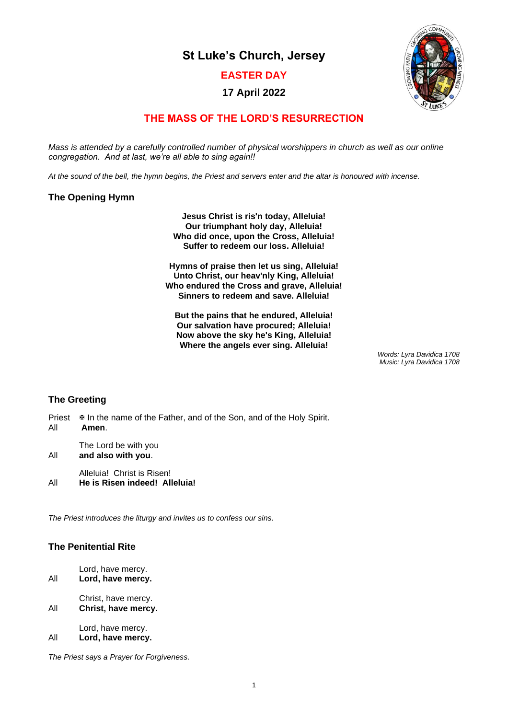**St Luke's Church, Jersey**

**EASTER DAY**

**17 April 2022**



# **THE MASS OF THE LORD'S RESURRECTION**

*Mass is attended by a carefully controlled number of physical worshippers in church as well as our online congregation. And at last, we're all able to sing again!!* 

*At the sound of the bell, the hymn begins, the Priest and servers enter and the altar is honoured with incense.*

# **The Opening Hymn**

**Jesus Christ is ris'n today, Alleluia! Our triumphant holy day, Alleluia! Who did once, upon the Cross, Alleluia! Suffer to redeem our loss. Alleluia!**

**Hymns of praise then let us sing, Alleluia! Unto Christ, our heav'nly King, Alleluia! Who endured the Cross and grave, Alleluia! Sinners to redeem and save. Alleluia!**

**But the pains that he endured, Alleluia! Our salvation have procured; Alleluia! Now above the sky he's King, Alleluia! Where the angels ever sing. Alleluia!**

*Words: Lyra Davidica 1708 Music: Lyra Davidica 1708*

# **The Greeting**

- Priest  $\Phi$  In the name of the Father, and of the Son, and of the Holy Spirit. All **Amen**.
	- The Lord be with you
- All **and also with you**.

Alleluia! Christ is Risen!

All **He is Risen indeed! Alleluia!**

*The Priest introduces the liturgy and invites us to confess our sins.*

# **The Penitential Rite**

- Lord, have mercy. All **Lord, have mercy.**
- Christ, have mercy.
- All **Christ, have mercy.**
- Lord, have mercy. All **Lord, have mercy.**

*The Priest says a Prayer for Forgiveness.*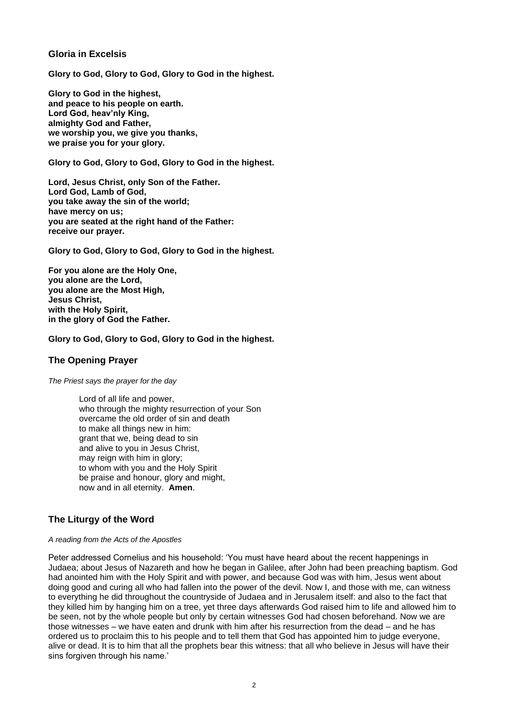## **Gloria in Excelsis**

**Glory to God, Glory to God, Glory to God in the highest.**

**Glory to God in the highest, and peace to his people on earth. Lord God, heav'nly King, almighty God and Father, we worship you, we give you thanks, we praise you for your glory.** 

**Glory to God, Glory to God, Glory to God in the highest.**

**Lord, Jesus Christ, only Son of the Father. Lord God, Lamb of God, you take away the sin of the world; have mercy on us; you are seated at the right hand of the Father: receive our prayer.** 

**Glory to God, Glory to God, Glory to God in the highest.**

**For you alone are the Holy One, you alone are the Lord, you alone are the Most High, Jesus Christ, with the Holy Spirit, in the glory of God the Father.** 

**Glory to God, Glory to God, Glory to God in the highest.**

# **The Opening Prayer**

*The Priest says the prayer for the day*

Lord of all life and power, who through the mighty resurrection of your Son overcame the old order of sin and death to make all things new in him: grant that we, being dead to sin and alive to you in Jesus Christ, may reign with him in glory; to whom with you and the Holy Spirit be praise and honour, glory and might, now and in all eternity. **Amen**.

# **The Liturgy of the Word**

#### *A reading from the Acts of the Apostles*

Peter addressed Cornelius and his household: 'You must have heard about the recent happenings in Judaea; about Jesus of Nazareth and how he began in Galilee, after John had been preaching baptism. God had anointed him with the Holy Spirit and with power, and because God was with him, Jesus went about doing good and curing all who had fallen into the power of the devil. Now I, and those with me, can witness to everything he did throughout the countryside of Judaea and in Jerusalem itself: and also to the fact that they killed him by hanging him on a tree, yet three days afterwards God raised him to life and allowed him to be seen, not by the whole people but only by certain witnesses God had chosen beforehand. Now we are those witnesses – we have eaten and drunk with him after his resurrection from the dead – and he has ordered us to proclaim this to his people and to tell them that God has appointed him to judge everyone, alive or dead. It is to him that all the prophets bear this witness: that all who believe in Jesus will have their sins forgiven through his name.'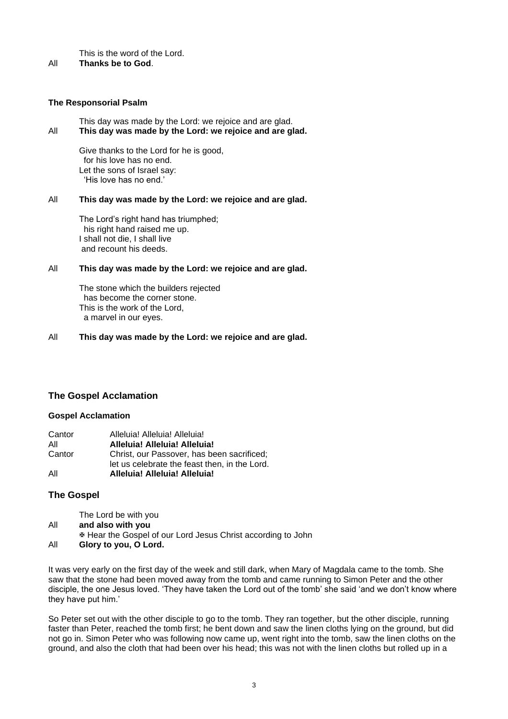This is the word of the Lord.

All **Thanks be to God**.

### **The Responsorial Psalm**

This day was made by the Lord: we rejoice and are glad. All **This day was made by the Lord: we rejoice and are glad.**

> Give thanks to the Lord for he is good, for his love has no end. Let the sons of Israel say: 'His love has no end.'

#### All **This day was made by the Lord: we rejoice and are glad.**

The Lord's right hand has triumphed; his right hand raised me up. I shall not die, I shall live and recount his deeds.

#### All **This day was made by the Lord: we rejoice and are glad.**

The stone which the builders rejected has become the corner stone. This is the work of the Lord, a marvel in our eyes.

### All **This day was made by the Lord: we rejoice and are glad.**

## **The Gospel Acclamation**

#### **Gospel Acclamation**

| Cantor | Alleluia! Alleluia! Alleluia!                 |
|--------|-----------------------------------------------|
| All    | Alleluia! Alleluia! Alleluia!                 |
| Cantor | Christ, our Passover, has been sacrificed:    |
|        | let us celebrate the feast then, in the Lord. |
| All    | Alleluia! Alleluia! Alleluia!                 |

## **The Gospel**

The Lord be with you

- All **and also with you**
- Hear the Gospel of our Lord Jesus Christ according to John
- All **Glory to you, O Lord.**

It was very early on the first day of the week and still dark, when Mary of Magdala came to the tomb. She saw that the stone had been moved away from the tomb and came running to Simon Peter and the other disciple, the one Jesus loved. 'They have taken the Lord out of the tomb' she said 'and we don't know where they have put him.'

So Peter set out with the other disciple to go to the tomb. They ran together, but the other disciple, running faster than Peter, reached the tomb first; he bent down and saw the linen cloths lying on the ground, but did not go in. Simon Peter who was following now came up, went right into the tomb, saw the linen cloths on the ground, and also the cloth that had been over his head; this was not with the linen cloths but rolled up in a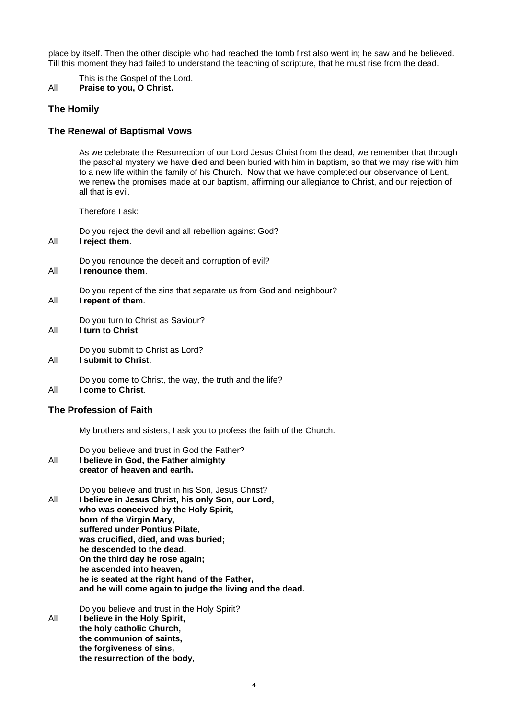place by itself. Then the other disciple who had reached the tomb first also went in; he saw and he believed. Till this moment they had failed to understand the teaching of scripture, that he must rise from the dead.

This is the Gospel of the Lord.

All **Praise to you, O Christ.**

# **The Homily**

# **The Renewal of Baptismal Vows**

As we celebrate the Resurrection of our Lord Jesus Christ from the dead, we remember that through the paschal mystery we have died and been buried with him in baptism, so that we may rise with him to a new life within the family of his Church. Now that we have completed our observance of Lent, we renew the promises made at our baptism, affirming our allegiance to Christ, and our rejection of all that is evil.

Therefore I ask:

Do you reject the devil and all rebellion against God?

All **I reject them**.

Do you renounce the deceit and corruption of evil?

All **I renounce them**.

Do you repent of the sins that separate us from God and neighbour?

All **I repent of them**.

Do you turn to Christ as Saviour?

### All **I turn to Christ**.

Do you submit to Christ as Lord?

# All **I submit to Christ**.

Do you come to Christ, the way, the truth and the life?

All **I come to Christ**.

## **The Profession of Faith**

My brothers and sisters, I ask you to profess the faith of the Church.

```
Do you believe and trust in God the Father?
All I believe in God, the Father almighty
       creator of heaven and earth.
```
Do you believe and trust in his Son, Jesus Christ? All **I believe in Jesus Christ, his only Son, our Lord, who was conceived by the Holy Spirit, born of the Virgin Mary, suffered under Pontius Pilate, was crucified, died, and was buried; he descended to the dead. On the third day he rose again; he ascended into heaven, he is seated at the right hand of the Father, and he will come again to judge the living and the dead.**

Do you believe and trust in the Holy Spirit? All **I believe in the Holy Spirit, the holy catholic Church, the communion of saints, the forgiveness of sins, the resurrection of the body,**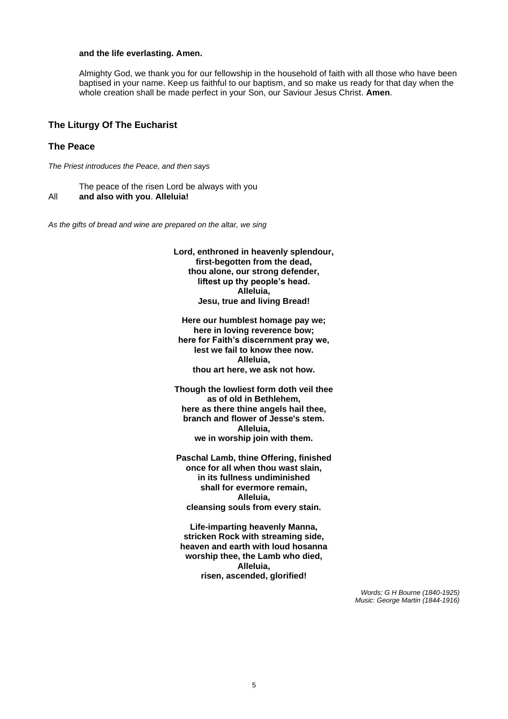#### **and the life everlasting. Amen.**

Almighty God, we thank you for our fellowship in the household of faith with all those who have been baptised in your name. Keep us faithful to our baptism, and so make us ready for that day when the whole creation shall be made perfect in your Son, our Saviour Jesus Christ. **Amen**.

# **The Liturgy Of The Eucharist**

### **The Peace**

*The Priest introduces the Peace, and then says*

The peace of the risen Lord be always with you All **and also with you**. **Alleluia!**

*As the gifts of bread and wine are prepared on the altar, we sing*

**Lord, enthroned in heavenly splendour, first-begotten from the dead, thou alone, our strong defender, liftest up thy people's head. Alleluia, Jesu, true and living Bread!**

**Here our humblest homage pay we; here in loving reverence bow; here for Faith's discernment pray we, lest we fail to know thee now. Alleluia, thou art here, we ask not how.**

**Though the lowliest form doth veil thee as of old in Bethlehem, here as there thine angels hail thee, branch and flower of Jesse's stem. Alleluia, we in worship join with them.**

**Paschal Lamb, thine Offering, finished once for all when thou wast slain, in its fullness undiminished shall for evermore remain, Alleluia, cleansing souls from every stain.**

**Life-imparting heavenly Manna, stricken Rock with streaming side, heaven and earth with loud hosanna worship thee, the Lamb who died, Alleluia, risen, ascended, glorified!**

> *Words: G H Bourne (1840-1925) Music: George Martin (1844-1916)*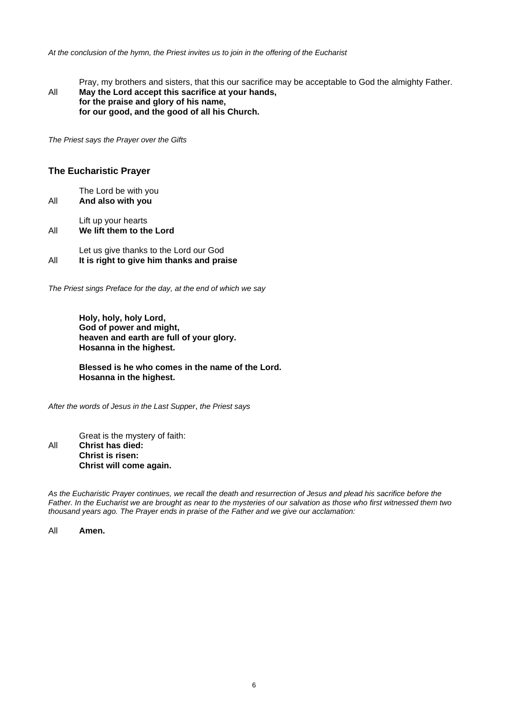Pray, my brothers and sisters, that this our sacrifice may be acceptable to God the almighty Father. All **May the Lord accept this sacrifice at your hands, for the praise and glory of his name, for our good, and the good of all his Church.** 

*The Priest says the Prayer over the Gifts*

# **The Eucharistic Prayer**

| All | The Lord be with you<br>And also with you                      |
|-----|----------------------------------------------------------------|
| All | Lift up your hearts<br>We lift them to the Lord                |
|     | Let us give thanks to the Lor<br>li in rinhi in niun him ihanl |

rd our God All **It is right to give him thanks and praise**

*The Priest sings Preface for the day, at the end of which we say*

**Holy, holy, holy Lord, God of power and might, heaven and earth are full of your glory. Hosanna in the highest.**

**Blessed is he who comes in the name of the Lord. Hosanna in the highest.**

*After the words of Jesus in the Last Supper*, *the Priest says*

Great is the mystery of faith: All **Christ has died: Christ is risen: Christ will come again.**

*As the Eucharistic Prayer continues, we recall the death and resurrection of Jesus and plead his sacrifice before the Father. In the Eucharist we are brought as near to the mysteries of our salvation as those who first witnessed them two thousand years ago. The Prayer ends in praise of the Father and we give our acclamation:*

All **Amen.**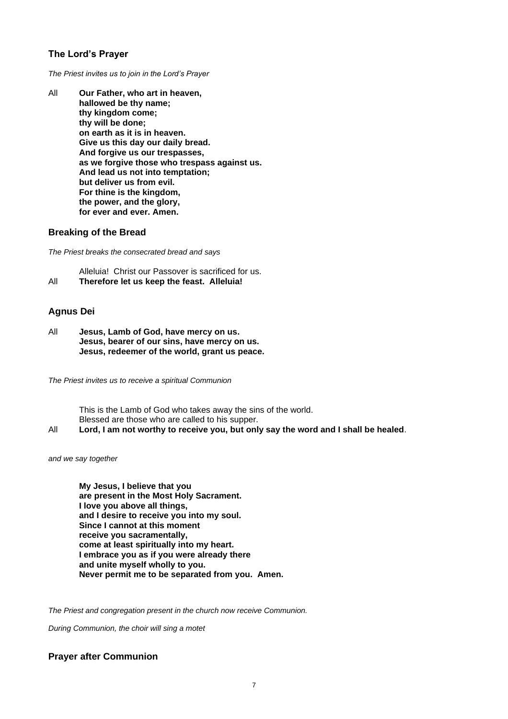# **The Lord's Prayer**

*The Priest invites us to join in the Lord's Prayer* 

All **Our Father, who art in heaven, hallowed be thy name; thy kingdom come; thy will be done; on earth as it is in heaven. Give us this day our daily bread. And forgive us our trespasses, as we forgive those who trespass against us. And lead us not into temptation; but deliver us from evil. For thine is the kingdom, the power, and the glory, for ever and ever. Amen.** 

## **Breaking of the Bread**

*The Priest breaks the consecrated bread and says*

Alleluia! Christ our Passover is sacrificed for us. All **Therefore let us keep the feast. Alleluia!**

## **Agnus Dei**

All **Jesus, Lamb of God, have mercy on us. Jesus, bearer of our sins, have mercy on us. Jesus, redeemer of the world, grant us peace.**

*The Priest invites us to receive a spiritual Communion*

This is the Lamb of God who takes away the sins of the world. Blessed are those who are called to his supper.

All **Lord, I am not worthy to receive you, but only say the word and I shall be healed**.

*and we say together*

**My Jesus, I believe that you are present in the Most Holy Sacrament. I love you above all things, and I desire to receive you into my soul. Since I cannot at this moment receive you sacramentally, come at least spiritually into my heart. I embrace you as if you were already there and unite myself wholly to you. Never permit me to be separated from you. Amen.**

*The Priest and congregation present in the church now receive Communion.* 

*During Communion, the choir will sing a motet* 

## **Prayer after Communion**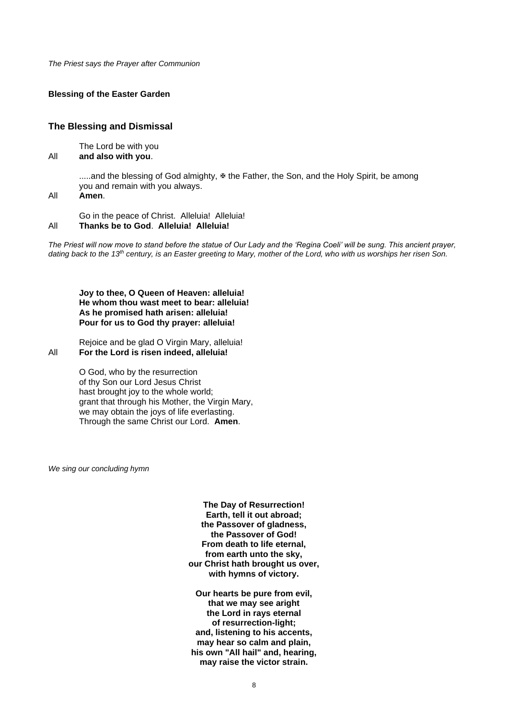*The Priest says the Prayer after Communion*

#### **Blessing of the Easter Garden**

#### **The Blessing and Dismissal**

The Lord be with you All **and also with you**.

> .....and the blessing of God almighty,  $\overline{x}$  the Father, the Son, and the Holy Spirit, be among you and remain with you always.

All **Amen**.

Go in the peace of Christ. Alleluia! Alleluia! All **Thanks be to God**. **Alleluia! Alleluia!**

*The Priest will now move to stand before the statue of Our Lady and the 'Regina Coeli' will be sung. This ancient prayer, dating back to the 13th century, is an Easter greeting to Mary, mother of the Lord, who with us worships her risen Son.*

**Joy to thee, O Queen of Heaven: alleluia! He whom thou wast meet to bear: alleluia! As he promised hath arisen: alleluia! Pour for us to God thy prayer: alleluia!**

Rejoice and be glad O Virgin Mary, alleluia! All **For the Lord is risen indeed, alleluia!**

> O God, who by the resurrection of thy Son our Lord Jesus Christ hast brought joy to the whole world; grant that through his Mother, the Virgin Mary, we may obtain the joys of life everlasting. Through the same Christ our Lord. **Amen**.

*We sing our concluding hymn*

**The Day of Resurrection! Earth, tell it out abroad; the Passover of gladness, the Passover of God! From death to life eternal, from earth unto the sky, our Christ hath brought us over, with hymns of victory.** 

**Our hearts be pure from evil, that we may see aright the Lord in rays eternal of resurrection-light; and, listening to his accents, may hear so calm and plain, his own "All hail" and, hearing, may raise the victor strain.**